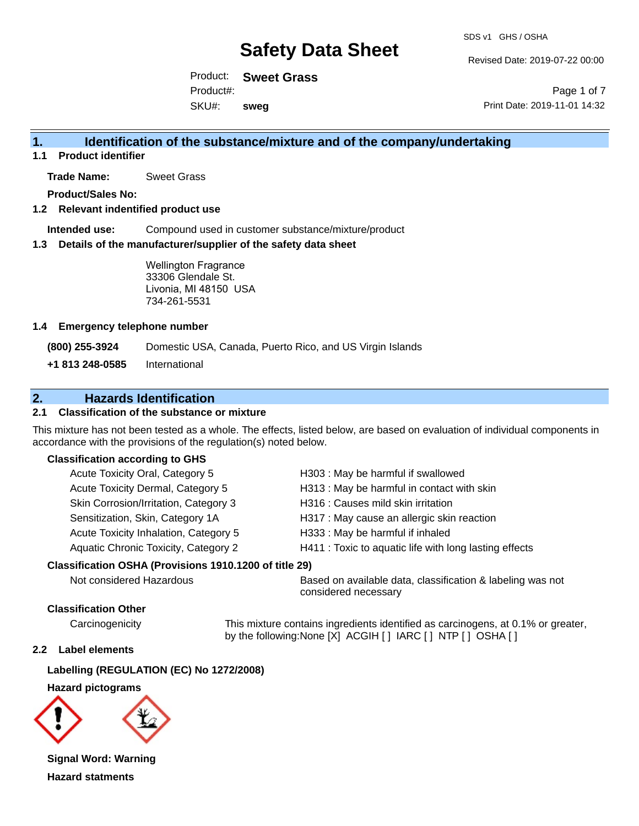Revised Date: 2019-07-22 00:00

Product: **Sweet Grass** SKU#: Product#: **sweg**

Page 1 of 7 Print Date: 2019-11-01 14:32

### **1. Identification of the substance/mixture and of the company/undertaking**

**1.1 Product identifier**

**Trade Name:** Sweet Grass

**Product/Sales No:**

**1.2 Relevant indentified product use**

**Intended use:** Compound used in customer substance/mixture/product

**1.3 Details of the manufacturer/supplier of the safety data sheet**

Wellington Fragrance 33306 Glendale St. Livonia, MI 48150 USA 734-261-5531

#### **1.4 Emergency telephone number**

**(800) 255-3924** Domestic USA, Canada, Puerto Rico, and US Virgin Islands

**+1 813 248-0585** International

### **2. Hazards Identification**

#### **2.1 Classification of the substance or mixture**

This mixture has not been tested as a whole. The effects, listed below, are based on evaluation of individual components in accordance with the provisions of the regulation(s) noted below.

#### **Classification according to GHS**

| Acute Toxicity Oral, Category 5       | H303 : May be harmful if swallowed                     |
|---------------------------------------|--------------------------------------------------------|
| Acute Toxicity Dermal, Category 5     | H313 : May be harmful in contact with skin             |
| Skin Corrosion/Irritation, Category 3 | H316 : Causes mild skin irritation                     |
| Sensitization, Skin, Category 1A      | H317 : May cause an allergic skin reaction             |
| Acute Toxicity Inhalation, Category 5 | H333: May be harmful if inhaled                        |
| Aquatic Chronic Toxicity, Category 2  | H411 : Toxic to aquatic life with long lasting effects |
|                                       |                                                        |

#### **Classification OSHA (Provisions 1910.1200 of title 29)**

Not considered Hazardous **Based on available data, classification & labeling was not** considered necessary

#### **Classification Other**

Carcinogenicity This mixture contains ingredients identified as carcinogens, at 0.1% or greater, by the following:None [X] ACGIH [ ] IARC [ ] NTP [ ] OSHA [ ]

#### **2.2 Label elements**

#### **Labelling (REGULATION (EC) No 1272/2008)**

**Hazard pictograms**



**Signal Word: Warning Hazard statments**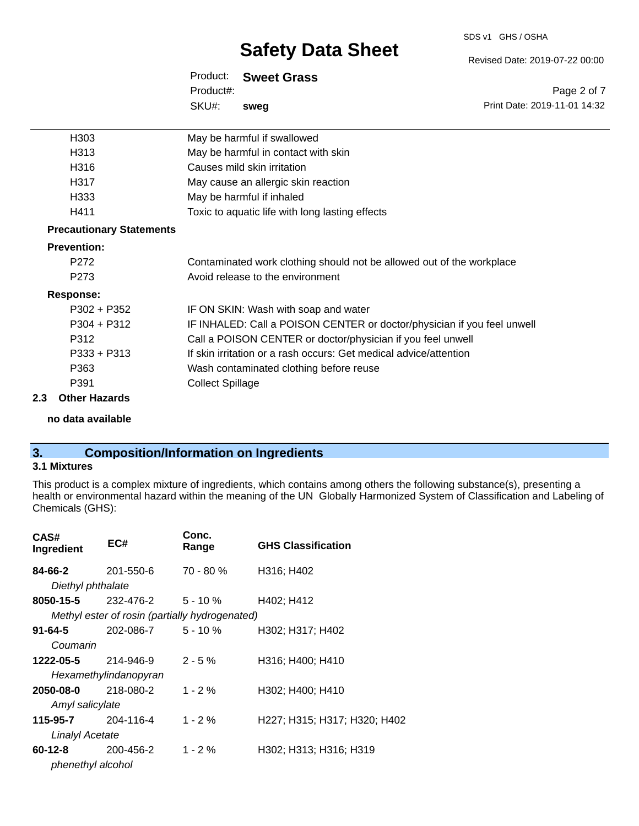# SDS v1 GHS / OSHA

# **Safety Data Sheet**

Revised Date: 2019-07-22 00:00

Print Date: 2019-11-01 14:32

Page 2 of 7

Product: **Sweet Grass** SKU#: Product#: **sweg**

| H303                            | May be harmful if swallowed                                             |
|---------------------------------|-------------------------------------------------------------------------|
| H313                            | May be harmful in contact with skin                                     |
| H316                            | Causes mild skin irritation                                             |
| H317                            | May cause an allergic skin reaction                                     |
| H333                            | May be harmful if inhaled                                               |
| H411                            | Toxic to aquatic life with long lasting effects                         |
| <b>Precautionary Statements</b> |                                                                         |
| <b>Prevention:</b>              |                                                                         |
| P272                            | Contaminated work clothing should not be allowed out of the workplace   |
| P273                            | Avoid release to the environment                                        |
| <b>Response:</b>                |                                                                         |
| P302 + P352                     | IF ON SKIN: Wash with soap and water                                    |
| $P304 + P312$                   | IF INHALED: Call a POISON CENTER or doctor/physician if you feel unwell |
| P312                            | Call a POISON CENTER or doctor/physician if you feel unwell             |
| $P333 + P313$                   | If skin irritation or a rash occurs: Get medical advice/attention       |
| P363                            | Wash contaminated clothing before reuse                                 |
| P391                            | <b>Collect Spillage</b>                                                 |
|                                 |                                                                         |

#### **2.3 Other Hazards**

#### **no data available**

# **3. Composition/Information on Ingredients**

#### **3.1 Mixtures**

This product is a complex mixture of ingredients, which contains among others the following substance(s), presenting a health or environmental hazard within the meaning of the UN Globally Harmonized System of Classification and Labeling of Chemicals (GHS):

| CAS#<br>Ingredient | EC#                                            | Conc.<br>Range | <b>GHS Classification</b>    |
|--------------------|------------------------------------------------|----------------|------------------------------|
| 84-66-2            | 201-550-6                                      | $70 - 80 \%$   | H316; H402                   |
| Diethyl phthalate  |                                                |                |                              |
| 8050-15-5          | 232-476-2                                      | 5 - 10 %       | H402; H412                   |
|                    | Methyl ester of rosin (partially hydrogenated) |                |                              |
| 91-64-5            | 202-086-7                                      | 5 - 10 %       | H302; H317; H402             |
| Coumarin           |                                                |                |                              |
| 1222-05-5          | 214-946-9                                      | $2 - 5%$       | H316; H400; H410             |
|                    | Hexamethylindanopyran                          |                |                              |
| 2050-08-0          | 218-080-2                                      | $1 - 2%$       | H302; H400; H410             |
| Amyl salicylate    |                                                |                |                              |
| 115-95-7           | 204-116-4                                      | $1 - 2%$       | H227; H315; H317; H320; H402 |
| Linalyl Acetate    |                                                |                |                              |
| 60-12-8            | 200-456-2                                      | $1 - 2 \%$     | H302; H313; H316; H319       |
| phenethyl alcohol  |                                                |                |                              |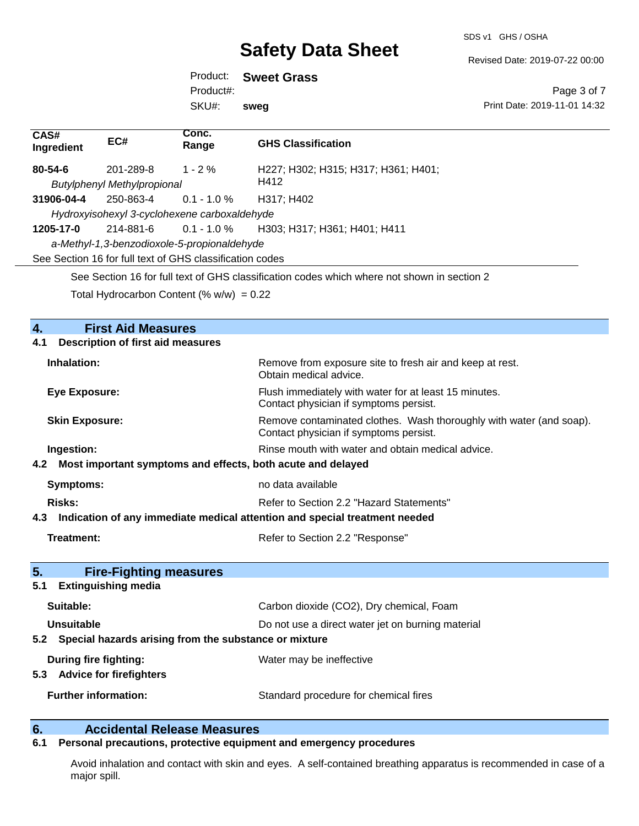SDS v1 GHS / OSHA

Revised Date: 2019-07-22 00:00

Product: **Sweet Grass** Product#:

SKU#: **sweg**

Page 3 of 7 Print Date: 2019-11-01 14:32

| CAS#<br>Ingredient    | EC#                                                      | Conc.<br>Range | <b>GHS Classification</b>                                                                       |
|-----------------------|----------------------------------------------------------|----------------|-------------------------------------------------------------------------------------------------|
| 80-54-6               | 201-289-8                                                | $1 - 2%$       | H227; H302; H315; H317; H361; H401;                                                             |
|                       | <b>Butylphenyl Methylpropional</b>                       |                | H412                                                                                            |
| 31906-04-4            | 250-863-4                                                | $0.1 - 1.0 %$  | H317; H402                                                                                      |
|                       | Hydroxyisohexyl 3-cyclohexene carboxaldehyde             |                |                                                                                                 |
| 1205-17-0             | 214-881-6                                                | $0.1 - 1.0 \%$ | H303; H317; H361; H401; H411                                                                    |
|                       | a-Methyl-1,3-benzodioxole-5-propionaldehyde              |                |                                                                                                 |
|                       | See Section 16 for full text of GHS classification codes |                |                                                                                                 |
|                       |                                                          |                | See Section 16 for full text of GHS classification codes which where not shown in section 2     |
|                       | Total Hydrocarbon Content (% $w/w$ ) = 0.22              |                |                                                                                                 |
| 4.                    | <b>First Aid Measures</b>                                |                |                                                                                                 |
| 4.1                   | <b>Description of first aid measures</b>                 |                |                                                                                                 |
| Inhalation:           |                                                          |                | Remove from exposure site to fresh air and keep at rest.<br>Obtain medical advice.              |
| <b>Eye Exposure:</b>  |                                                          |                | Flush immediately with water for at least 15 minutes.<br>Contact physician if symptoms persist. |
| <b>Skin Exposure:</b> |                                                          |                | Remove contaminated clothes. Wash thoroughly with water (and soap).                             |

Contact physician if symptoms persist.

**Ingestion: Rinse mouth with water and obtain medical advice. Rinse mouth with water and obtain medical advice.** 

**Risks:** Risks: Refer to Section 2.2 "Hazard Statements"

**4.3 Indication of any immediate medical attention and special treatment needed**

**Treatment:** Refer to Section 2.2 "Response"

**4.2 Most important symptoms and effects, both acute and delayed**

**Symptoms:** no data available

| 5.<br><b>Fire-Fighting measures</b>                          |                                                   |
|--------------------------------------------------------------|---------------------------------------------------|
| <b>Extinguishing media</b><br>5.1                            |                                                   |
| Suitable:                                                    | Carbon dioxide (CO2), Dry chemical, Foam          |
| Unsuitable                                                   | Do not use a direct water jet on burning material |
| Special hazards arising from the substance or mixture<br>5.2 |                                                   |
| During fire fighting:                                        | Water may be ineffective                          |
| <b>Advice for firefighters</b><br>5.3                        |                                                   |
| <b>Further information:</b>                                  | Standard procedure for chemical fires             |

### **6. Accidental Release Measures**

#### **6.1 Personal precautions, protective equipment and emergency procedures**

Avoid inhalation and contact with skin and eyes. A self-contained breathing apparatus is recommended in case of a major spill.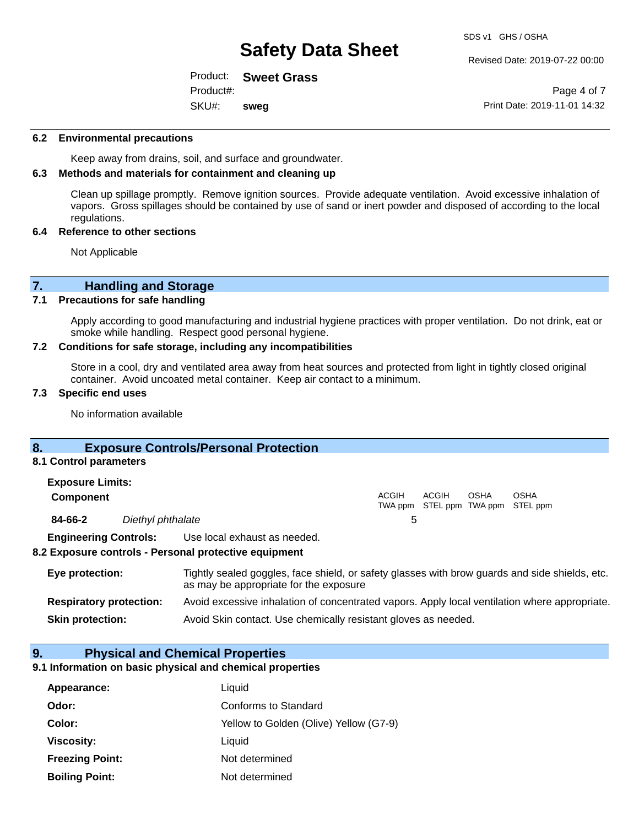Revised Date: 2019-07-22 00:00

Product: **Sweet Grass** SKU#: Product#: **sweg**

Page 4 of 7 Print Date: 2019-11-01 14:32

#### **6.2 Environmental precautions**

Keep away from drains, soil, and surface and groundwater.

#### **6.3 Methods and materials for containment and cleaning up**

Clean up spillage promptly. Remove ignition sources. Provide adequate ventilation. Avoid excessive inhalation of vapors. Gross spillages should be contained by use of sand or inert powder and disposed of according to the local regulations.

#### **6.4 Reference to other sections**

Not Applicable

### **7. Handling and Storage**

#### **7.1 Precautions for safe handling**

Apply according to good manufacturing and industrial hygiene practices with proper ventilation. Do not drink, eat or smoke while handling. Respect good personal hygiene.

#### **7.2 Conditions for safe storage, including any incompatibilities**

Store in a cool, dry and ventilated area away from heat sources and protected from light in tightly closed original container. Avoid uncoated metal container. Keep air contact to a minimum.

#### **7.3 Specific end uses**

No information available

#### **8. Exposure Controls/Personal Protection**

#### **8.1 Control parameters**

| <b>Exposure Limits:</b>      |                   |                              |       |                                            |             |             |  |
|------------------------------|-------------------|------------------------------|-------|--------------------------------------------|-------------|-------------|--|
| <b>Component</b>             |                   |                              | ACGIH | ACGIH<br>TWA ppm STEL ppm TWA ppm STEL ppm | <b>OSHA</b> | <b>OSHA</b> |  |
| 84-66-2                      | Diethyl phthalate |                              |       |                                            |             |             |  |
| <b>Engineering Controls:</b> |                   | Use local exhaust as needed. |       |                                            |             |             |  |

#### **8.2 Exposure controls - Personal protective equipment**

| Eye protection:                | Tightly sealed goggles, face shield, or safety glasses with brow guards and side shields, etc.<br>as may be appropriate for the exposure |
|--------------------------------|------------------------------------------------------------------------------------------------------------------------------------------|
| <b>Respiratory protection:</b> | Avoid excessive inhalation of concentrated vapors. Apply local ventilation where appropriate.                                            |
| <b>Skin protection:</b>        | Avoid Skin contact. Use chemically resistant gloves as needed.                                                                           |

#### **9. Physical and Chemical Properties**

#### **9.1 Information on basic physical and chemical properties**

| Appearance:            | Liquid                                 |
|------------------------|----------------------------------------|
| Odor:                  | Conforms to Standard                   |
| Color:                 | Yellow to Golden (Olive) Yellow (G7-9) |
| <b>Viscosity:</b>      | Liquid                                 |
| <b>Freezing Point:</b> | Not determined                         |
| <b>Boiling Point:</b>  | Not determined                         |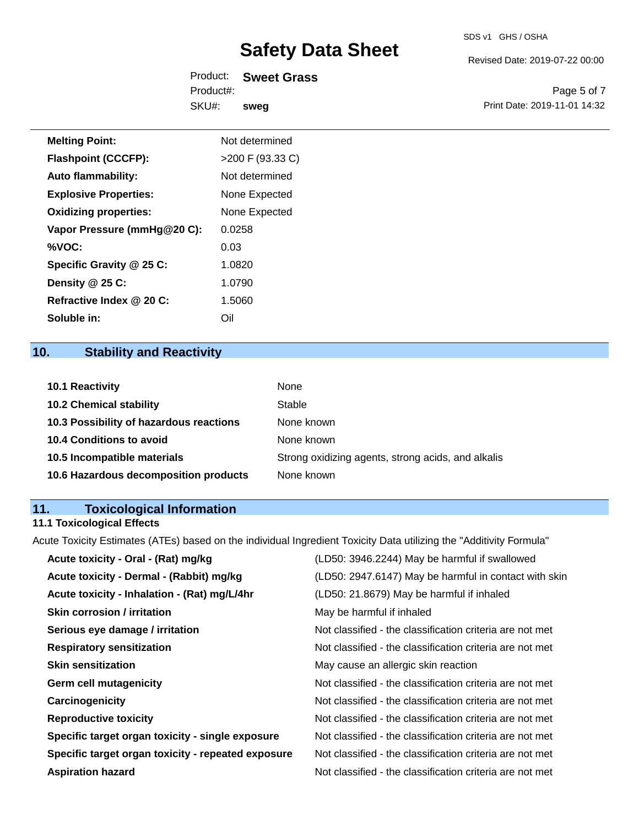Revised Date: 2019-07-22 00:00

| Product:  | <b>Sweet Grass</b> |
|-----------|--------------------|
| Product#: |                    |
| SKU#:     | sweg               |

Page 5 of 7 Print Date: 2019-11-01 14:32

| <b>Melting Point:</b>        | Not determined     |
|------------------------------|--------------------|
| <b>Flashpoint (CCCFP):</b>   | $>200$ F (93.33 C) |
| <b>Auto flammability:</b>    | Not determined     |
| <b>Explosive Properties:</b> | None Expected      |
| <b>Oxidizing properties:</b> | None Expected      |
| Vapor Pressure (mmHg@20 C):  | 0.0258             |
| %VOC:                        | 0.03               |
| Specific Gravity @ 25 C:     | 1.0820             |
| Density @ 25 C:              | 1.0790             |
| Refractive Index @ 20 C:     | 1.5060             |

## **10. Stability and Reactivity**

**Soluble in:** Oil

| <b>10.1 Reactivity</b>                  | None                                               |
|-----------------------------------------|----------------------------------------------------|
| <b>10.2 Chemical stability</b>          | Stable                                             |
| 10.3 Possibility of hazardous reactions | None known                                         |
| <b>10.4 Conditions to avoid</b>         | None known                                         |
| 10.5 Incompatible materials             | Strong oxidizing agents, strong acids, and alkalis |
| 10.6 Hazardous decomposition products   | None known                                         |

## **11. Toxicological Information**

### **11.1 Toxicological Effects**

Acute Toxicity Estimates (ATEs) based on the individual Ingredient Toxicity Data utilizing the "Additivity Formula"

| Acute toxicity - Oral - (Rat) mg/kg                | (LD50: 3946.2244) May be harmful if swallowed            |
|----------------------------------------------------|----------------------------------------------------------|
| Acute toxicity - Dermal - (Rabbit) mg/kg           | (LD50: 2947.6147) May be harmful in contact with skin    |
| Acute toxicity - Inhalation - (Rat) mg/L/4hr       | (LD50: 21.8679) May be harmful if inhaled                |
| <b>Skin corrosion / irritation</b>                 | May be harmful if inhaled                                |
| Serious eye damage / irritation                    | Not classified - the classification criteria are not met |
| <b>Respiratory sensitization</b>                   | Not classified - the classification criteria are not met |
| <b>Skin sensitization</b>                          | May cause an allergic skin reaction                      |
| <b>Germ cell mutagenicity</b>                      | Not classified - the classification criteria are not met |
| Carcinogenicity                                    | Not classified - the classification criteria are not met |
| <b>Reproductive toxicity</b>                       | Not classified - the classification criteria are not met |
| Specific target organ toxicity - single exposure   | Not classified - the classification criteria are not met |
| Specific target organ toxicity - repeated exposure | Not classified - the classification criteria are not met |
| <b>Aspiration hazard</b>                           | Not classified - the classification criteria are not met |
|                                                    |                                                          |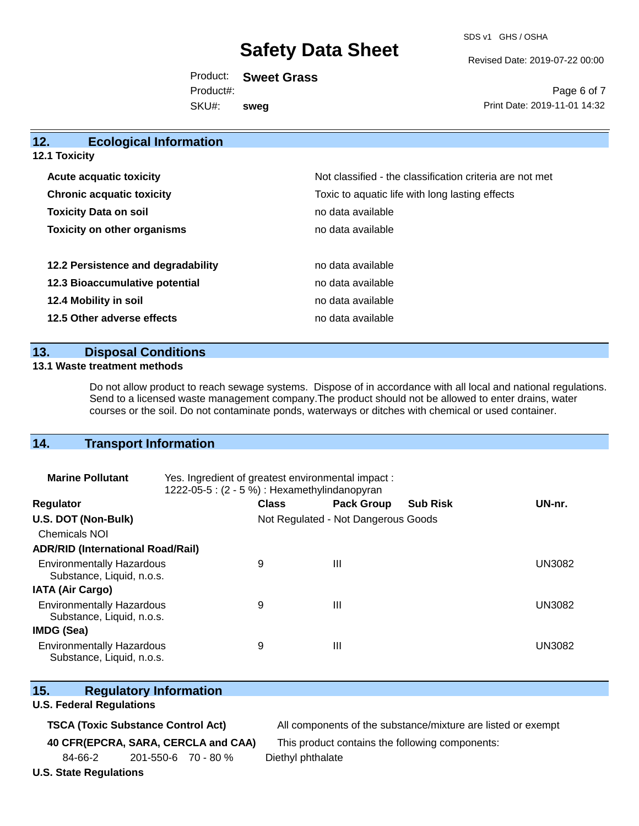SDS v1 GHS / OSHA

Revised Date: 2019-07-22 00:00

Product: **Sweet Grass** SKU#: Product#: **sweg**

Page 6 of 7 Print Date: 2019-11-01 14:32

| 12.<br><b>Ecological Information</b> |                                                          |
|--------------------------------------|----------------------------------------------------------|
| <b>12.1 Toxicity</b>                 |                                                          |
| <b>Acute acquatic toxicity</b>       | Not classified - the classification criteria are not met |
| <b>Chronic acquatic toxicity</b>     | Toxic to aquatic life with long lasting effects          |
| <b>Toxicity Data on soil</b>         | no data available                                        |
| <b>Toxicity on other organisms</b>   | no data available                                        |
| 12.2 Persistence and degradability   | no data available                                        |
| 12.3 Bioaccumulative potential       | no data available                                        |
| 12.4 Mobility in soil                | no data available                                        |
| 12.5 Other adverse effects           | no data available                                        |
|                                      |                                                          |

#### **13. Disposal Conditions**

#### **13.1 Waste treatment methods**

Do not allow product to reach sewage systems. Dispose of in accordance with all local and national regulations. Send to a licensed waste management company.The product should not be allowed to enter drains, water courses or the soil. Do not contaminate ponds, waterways or ditches with chemical or used container.

#### **14. Transport Information**

| <b>Marine Pollutant</b>                                       | Yes. Ingredient of greatest environmental impact:<br>1222-05-5: (2 - 5 %) : Hexamethylindanopyran |                                     |                   |                 |               |
|---------------------------------------------------------------|---------------------------------------------------------------------------------------------------|-------------------------------------|-------------------|-----------------|---------------|
| Regulator                                                     |                                                                                                   | <b>Class</b>                        | <b>Pack Group</b> | <b>Sub Risk</b> | UN-nr.        |
| U.S. DOT (Non-Bulk)                                           |                                                                                                   | Not Regulated - Not Dangerous Goods |                   |                 |               |
| <b>Chemicals NOI</b>                                          |                                                                                                   |                                     |                   |                 |               |
| <b>ADR/RID (International Road/Rail)</b>                      |                                                                                                   |                                     |                   |                 |               |
| <b>Environmentally Hazardous</b><br>Substance, Liquid, n.o.s. |                                                                                                   | 9                                   | Ш                 |                 | <b>UN3082</b> |
| <b>IATA (Air Cargo)</b>                                       |                                                                                                   |                                     |                   |                 |               |
| <b>Environmentally Hazardous</b><br>Substance, Liquid, n.o.s. |                                                                                                   | 9                                   | Ш                 |                 | <b>UN3082</b> |
| IMDG (Sea)                                                    |                                                                                                   |                                     |                   |                 |               |
| <b>Environmentally Hazardous</b><br>Substance, Liquid, n.o.s. |                                                                                                   | 9                                   | Ш                 |                 | <b>UN3082</b> |

|  | 15. | <b>Regulatory Information</b> |  |
|--|-----|-------------------------------|--|
|--|-----|-------------------------------|--|

#### **U.S. Federal Regulations**

**TSCA (Toxic Substance Control Act)** All components of the substance/mixture are listed or exempt

**40 CFR(EPCRA, SARA, CERCLA and CAA)** This product contains the following components:

84-66-2 201-550-6 70 - 80 % Diethyl phthalate

**U.S. State Regulations**